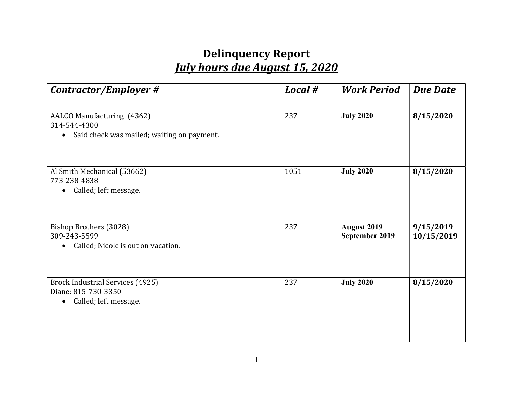## Delinquency Report July hours due August 15, 2020

| Contractor/Employer #                                                                                | Local # | <b>Work Period</b>                   | <b>Due Date</b>         |
|------------------------------------------------------------------------------------------------------|---------|--------------------------------------|-------------------------|
| AALCO Manufacturing (4362)<br>314-544-4300<br>Said check was mailed; waiting on payment.             | 237     | <b>July 2020</b>                     | 8/15/2020               |
| Al Smith Mechanical (53662)<br>773-238-4838<br>Called; left message.                                 | 1051    | <b>July 2020</b>                     | 8/15/2020               |
| Bishop Brothers (3028)<br>309-243-5599<br>Called; Nicole is out on vacation.<br>$\bullet$            | 237     | <b>August 2019</b><br>September 2019 | 9/15/2019<br>10/15/2019 |
| <b>Brock Industrial Services (4925)</b><br>Diane: 815-730-3350<br>Called; left message.<br>$\bullet$ | 237     | <b>July 2020</b>                     | 8/15/2020               |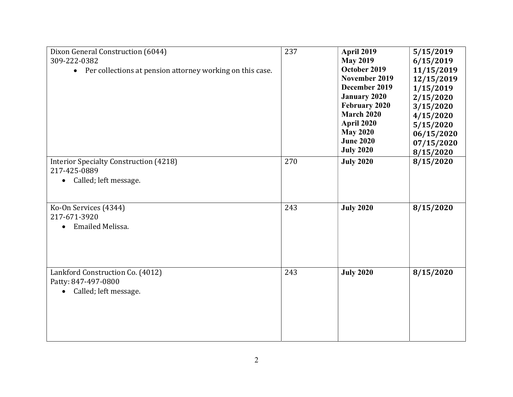| Dixon General Construction (6044)<br>309-222-0382<br>• Per collections at pension attorney working on this case. | 237 | <b>April 2019</b><br><b>May 2019</b><br>October 2019<br>November 2019<br>December 2019<br><b>January 2020</b><br><b>February 2020</b><br><b>March 2020</b><br>April 2020<br><b>May 2020</b><br><b>June 2020</b><br><b>July 2020</b> | 5/15/2019<br>6/15/2019<br>11/15/2019<br>12/15/2019<br>1/15/2019<br>2/15/2020<br>3/15/2020<br>4/15/2020<br>5/15/2020<br>06/15/2020<br>07/15/2020<br>8/15/2020 |
|------------------------------------------------------------------------------------------------------------------|-----|-------------------------------------------------------------------------------------------------------------------------------------------------------------------------------------------------------------------------------------|--------------------------------------------------------------------------------------------------------------------------------------------------------------|
| <b>Interior Specialty Construction (4218)</b><br>217-425-0889<br>Called; left message.                           | 270 | <b>July 2020</b>                                                                                                                                                                                                                    | 8/15/2020                                                                                                                                                    |
| Ko-On Services (4344)<br>217-671-3920<br>Emailed Melissa.                                                        | 243 | <b>July 2020</b>                                                                                                                                                                                                                    | 8/15/2020                                                                                                                                                    |
| Lankford Construction Co. (4012)<br>Patty: 847-497-0800<br>Called; left message.                                 | 243 | <b>July 2020</b>                                                                                                                                                                                                                    | 8/15/2020                                                                                                                                                    |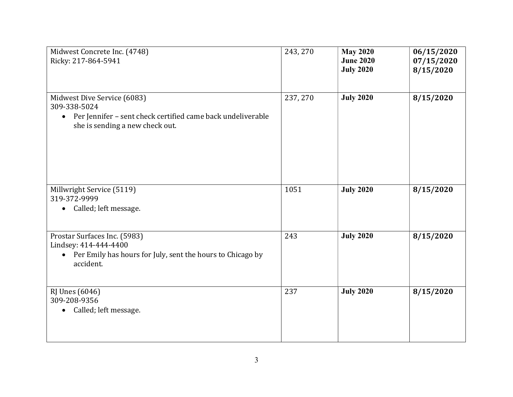| Midwest Concrete Inc. (4748)<br>Ricky: 217-864-5941                                                                                                        | 243, 270 | <b>May 2020</b><br><b>June 2020</b><br><b>July 2020</b> | 06/15/2020<br>07/15/2020<br>8/15/2020 |
|------------------------------------------------------------------------------------------------------------------------------------------------------------|----------|---------------------------------------------------------|---------------------------------------|
| Midwest Dive Service (6083)<br>309-338-5024<br>Per Jennifer - sent check certified came back undeliverable<br>$\bullet$<br>she is sending a new check out. | 237, 270 | <b>July 2020</b>                                        | 8/15/2020                             |
| Millwright Service (5119)<br>319-372-9999<br>Called; left message.<br>$\bullet$                                                                            | 1051     | <b>July 2020</b>                                        | 8/15/2020                             |
| Prostar Surfaces Inc. (5983)<br>Lindsey: 414-444-4400<br>Per Emily has hours for July, sent the hours to Chicago by<br>$\bullet$<br>accident.              | 243      | <b>July 2020</b>                                        | 8/15/2020                             |
| <b>RJ</b> Unes (6046)<br>309-208-9356<br>Called; left message.<br>$\bullet$                                                                                | 237      | <b>July 2020</b>                                        | 8/15/2020                             |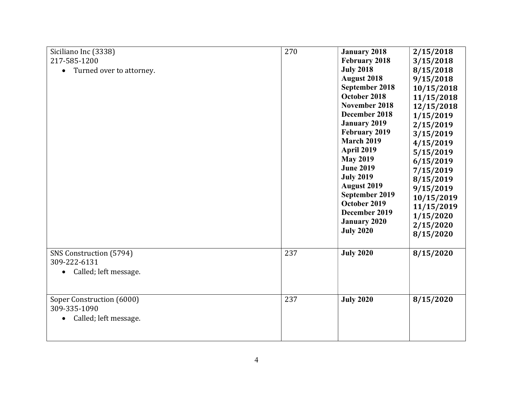| Siciliano Inc (3338)<br>217-585-1200<br>Turned over to attorney.<br>$\bullet$ | 270 | <b>January 2018</b><br>February 2018<br><b>July 2018</b><br><b>August 2018</b><br>September 2018<br>October 2018<br>November 2018<br>December 2018<br><b>January 2019</b><br>February 2019<br><b>March 2019</b><br><b>April 2019</b><br><b>May 2019</b><br><b>June 2019</b><br><b>July 2019</b><br><b>August 2019</b><br>September 2019<br>October 2019<br>December 2019<br><b>January 2020</b><br><b>July 2020</b> | 2/15/2018<br>3/15/2018<br>8/15/2018<br>9/15/2018<br>10/15/2018<br>11/15/2018<br>12/15/2018<br>1/15/2019<br>2/15/2019<br>3/15/2019<br>4/15/2019<br>5/15/2019<br>6/15/2019<br>7/15/2019<br>8/15/2019<br>9/15/2019<br>10/15/2019<br>11/15/2019<br>1/15/2020<br>2/15/2020<br>8/15/2020 |
|-------------------------------------------------------------------------------|-----|---------------------------------------------------------------------------------------------------------------------------------------------------------------------------------------------------------------------------------------------------------------------------------------------------------------------------------------------------------------------------------------------------------------------|------------------------------------------------------------------------------------------------------------------------------------------------------------------------------------------------------------------------------------------------------------------------------------|
| SNS Construction (5794)<br>309-222-6131<br>Called; left message.<br>$\bullet$ | 237 | <b>July 2020</b>                                                                                                                                                                                                                                                                                                                                                                                                    | 8/15/2020                                                                                                                                                                                                                                                                          |
| Soper Construction (6000)<br>309-335-1090<br>Called; left message.            | 237 | <b>July 2020</b>                                                                                                                                                                                                                                                                                                                                                                                                    | 8/15/2020                                                                                                                                                                                                                                                                          |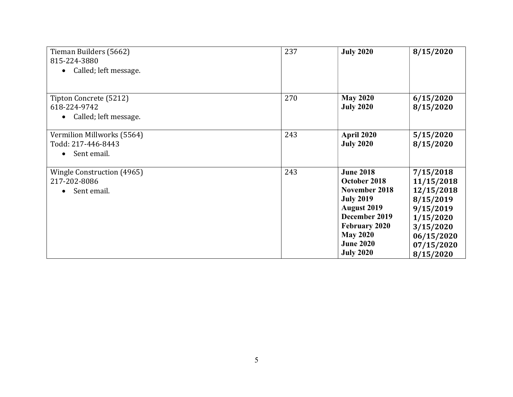| Tieman Builders (5662)<br>815-224-3880<br>Called; left message.              | 237 | <b>July 2020</b>                                                                                                                                                                                | 8/15/2020                                                                                                                          |
|------------------------------------------------------------------------------|-----|-------------------------------------------------------------------------------------------------------------------------------------------------------------------------------------------------|------------------------------------------------------------------------------------------------------------------------------------|
| Tipton Concrete (5212)<br>618-224-9742<br>Called; left message.              | 270 | <b>May 2020</b><br><b>July 2020</b>                                                                                                                                                             | 6/15/2020<br>8/15/2020                                                                                                             |
| Vermilion Millworks (5564)<br>Todd: 217-446-8443<br>Sent email.<br>$\bullet$ | 243 | April 2020<br><b>July 2020</b>                                                                                                                                                                  | 5/15/2020<br>8/15/2020                                                                                                             |
| Wingle Construction (4965)<br>217-202-8086<br>Sent email.                    | 243 | <b>June 2018</b><br>October 2018<br>November 2018<br><b>July 2019</b><br><b>August 2019</b><br>December 2019<br><b>February 2020</b><br><b>May 2020</b><br><b>June 2020</b><br><b>July 2020</b> | 7/15/2018<br>11/15/2018<br>12/15/2018<br>8/15/2019<br>9/15/2019<br>1/15/2020<br>3/15/2020<br>06/15/2020<br>07/15/2020<br>8/15/2020 |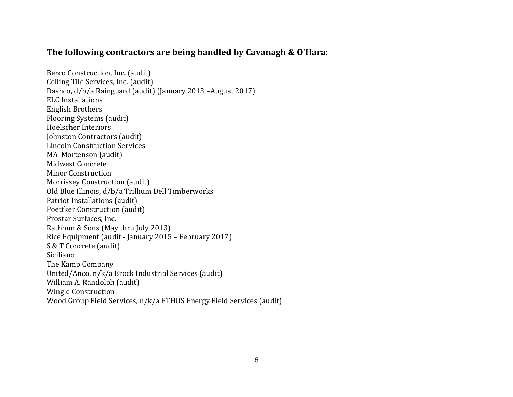## The following contractors are being handled by Cavanagh & O'Hara:

Berco Construction, Inc. (audit) Ceiling Tile Services, Inc. (audit) Dashco, d/b/a Rainguard (audit) (January 2013 –August 2017) ELC Installations English Brothers Flooring Systems (audit) Hoelscher Interiors Johnston Contractors (audit) Lincoln Construction Services MA Mortenson (audit) Midwest Concrete Minor Construction Morrissey Construction (audit) Old Blue Illinois, d/b/a Trillium Dell Timberworks Patriot Installations (audit) Poettker Construction (audit) Prostar Surfaces, Inc. Rathbun & Sons (May thru July 2013) Rice Equipment (audit - January 2015 – February 2017) S & T Concrete (audit) Siciliano The Kamp Company United/Anco, n/k/a Brock Industrial Services (audit) William A. Randolph (audit) Wingle Construction Wood Group Field Services, n/k/a ETHOS Energy Field Services (audit)